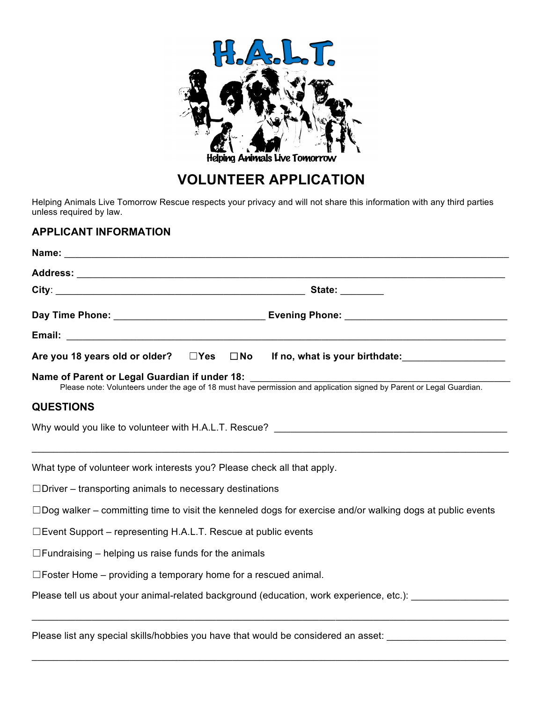

# **VOLUNTEER APPLICATION**

Helping Animals Live Tomorrow Rescue respects your privacy and will not share this information with any third parties unless required by law.

### **APPLICANT INFORMATION**

|                                                                                                                  |  | State: ________                                                                                                                                                       |  |  |  |  |
|------------------------------------------------------------------------------------------------------------------|--|-----------------------------------------------------------------------------------------------------------------------------------------------------------------------|--|--|--|--|
|                                                                                                                  |  |                                                                                                                                                                       |  |  |  |  |
|                                                                                                                  |  |                                                                                                                                                                       |  |  |  |  |
|                                                                                                                  |  | Are you 18 years old or older? $\square$ Yes $\square$ No If no, what is your birthdate:                                                                              |  |  |  |  |
|                                                                                                                  |  | Name of Parent or Legal Guardian if under 18:<br>Please note: Volunteers under the age of 18 must have permission and application signed by Parent or Legal Guardian. |  |  |  |  |
| <b>QUESTIONS</b>                                                                                                 |  |                                                                                                                                                                       |  |  |  |  |
|                                                                                                                  |  | Why would you like to volunteer with H.A.L.T. Rescue?                                                                                                                 |  |  |  |  |
| What type of volunteer work interests you? Please check all that apply.                                          |  |                                                                                                                                                                       |  |  |  |  |
| $\Box$ Driver – transporting animals to necessary destinations                                                   |  |                                                                                                                                                                       |  |  |  |  |
| $\Box$ Dog walker – committing time to visit the kenneled dogs for exercise and/or walking dogs at public events |  |                                                                                                                                                                       |  |  |  |  |
| $\square$ Event Support – representing H.A.L.T. Rescue at public events                                          |  |                                                                                                                                                                       |  |  |  |  |
| $\Box$ Fundraising – helping us raise funds for the animals                                                      |  |                                                                                                                                                                       |  |  |  |  |
| $\Box$ Foster Home – providing a temporary home for a rescued animal.                                            |  |                                                                                                                                                                       |  |  |  |  |
|                                                                                                                  |  | Please tell us about your animal-related background (education, work experience, etc.):                                                                               |  |  |  |  |
|                                                                                                                  |  |                                                                                                                                                                       |  |  |  |  |

 $\_$  ,  $\_$  ,  $\_$  ,  $\_$  ,  $\_$  ,  $\_$  ,  $\_$  ,  $\_$  ,  $\_$  ,  $\_$  ,  $\_$  ,  $\_$  ,  $\_$  ,  $\_$  ,  $\_$  ,  $\_$  ,  $\_$  ,  $\_$  ,  $\_$  ,  $\_$  ,  $\_$  ,  $\_$  ,  $\_$  ,  $\_$  ,  $\_$  ,  $\_$  ,  $\_$  ,  $\_$  ,  $\_$  ,  $\_$  ,  $\_$  ,  $\_$  ,  $\_$  ,  $\_$  ,  $\_$  ,  $\_$  ,  $\_$  ,

Please list any special skills/hobbies you have that would be considered an asset: \_\_\_\_\_\_\_\_\_\_\_\_\_\_\_\_\_\_\_\_\_\_\_\_\_\_\_